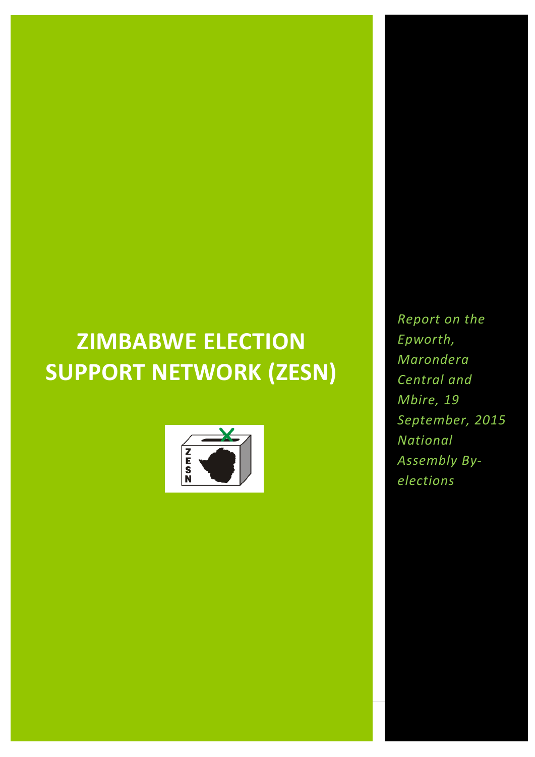# **ZIMBABWE ELECTION SUPPORT NETWORK (ZESN)**



*Report on the Epworth, Marondera Central and Mbire, 19 September, 2015 National Assembly Byelections*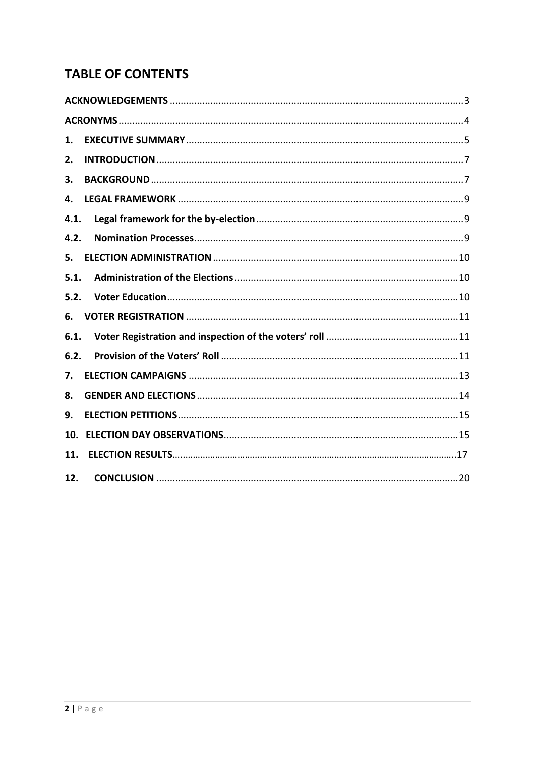## **TABLE OF CONTENTS**

| 1.   |  |
|------|--|
| 2.   |  |
| 3.   |  |
| 4.   |  |
| 4.1. |  |
| 4.2. |  |
| 5.   |  |
| 5.1. |  |
| 5.2. |  |
| 6.   |  |
| 6.1. |  |
| 6.2. |  |
| 7.   |  |
| 8.   |  |
| 9.   |  |
| 10.  |  |
| 11.  |  |
| 12.  |  |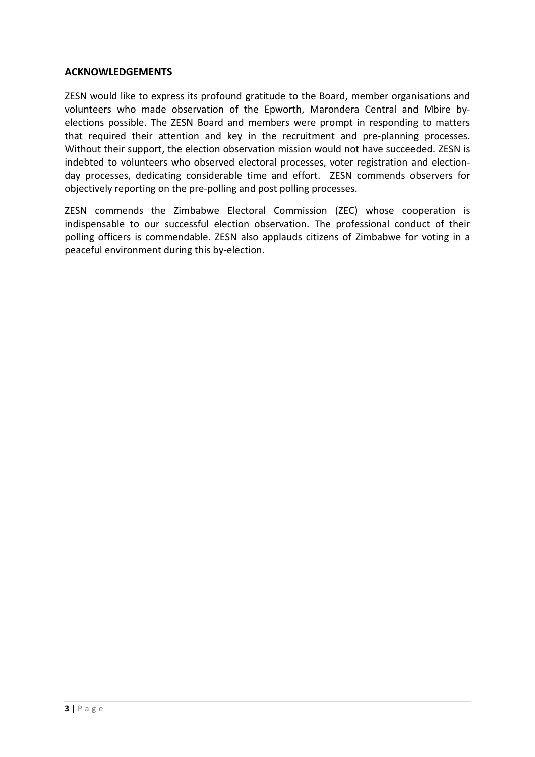#### <span id="page-2-0"></span>**ACKNOWLEDGEMENTS**

ZESN would like to express its profound gratitude to the Board, member organisations and volunteers who made observation of the Epworth, Marondera Central and Mbire byelections possible. The ZESN Board and members were prompt in responding to matters that required their attention and key in the recruitment and pre-planning processes. Without their support, the election observation mission would not have succeeded. ZESN is indebted to volunteers who observed electoral processes, voter registration and electionday processes, dedicating considerable time and effort. ZESN commends observers for objectively reporting on the pre-polling and post polling processes.

ZESN commends the Zimbabwe Electoral Commission (ZEC) whose cooperation is indispensable to our successful election observation. The professional conduct of their polling officers is commendable. ZESN also applauds citizens of Zimbabwe for voting in a peaceful environment during this by-election.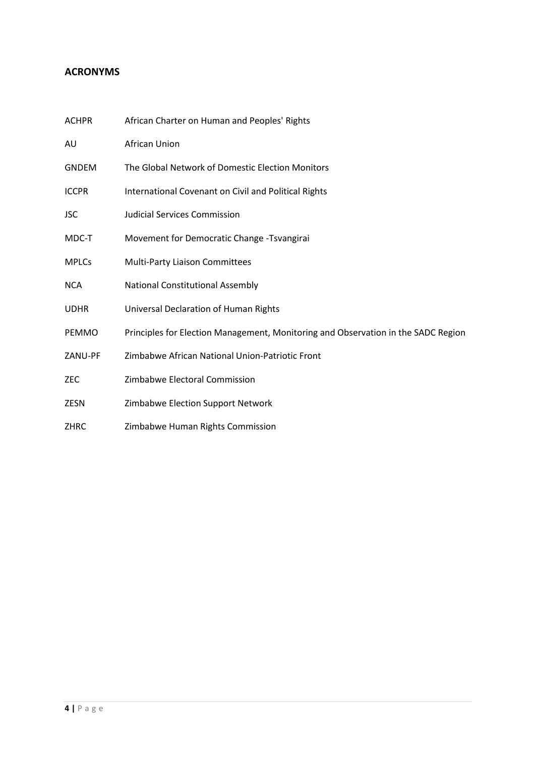## <span id="page-3-0"></span>**ACRONYMS**

| <b>ACHPR</b> | African Charter on Human and Peoples' Rights                                      |
|--------------|-----------------------------------------------------------------------------------|
| AU           | African Union                                                                     |
| <b>GNDEM</b> | The Global Network of Domestic Election Monitors                                  |
| <b>ICCPR</b> | International Covenant on Civil and Political Rights                              |
| <b>JSC</b>   | <b>Judicial Services Commission</b>                                               |
| MDC-T        | Movement for Democratic Change -Tsvangirai                                        |
| <b>MPLCs</b> | <b>Multi-Party Liaison Committees</b>                                             |
| <b>NCA</b>   | National Constitutional Assembly                                                  |
| <b>UDHR</b>  | Universal Declaration of Human Rights                                             |
| <b>PEMMO</b> | Principles for Election Management, Monitoring and Observation in the SADC Region |
| ZANU-PF      | Zimbabwe African National Union-Patriotic Front                                   |
| <b>ZEC</b>   | Zimbabwe Electoral Commission                                                     |
| <b>ZESN</b>  | Zimbabwe Election Support Network                                                 |
| <b>ZHRC</b>  | Zimbabwe Human Rights Commission                                                  |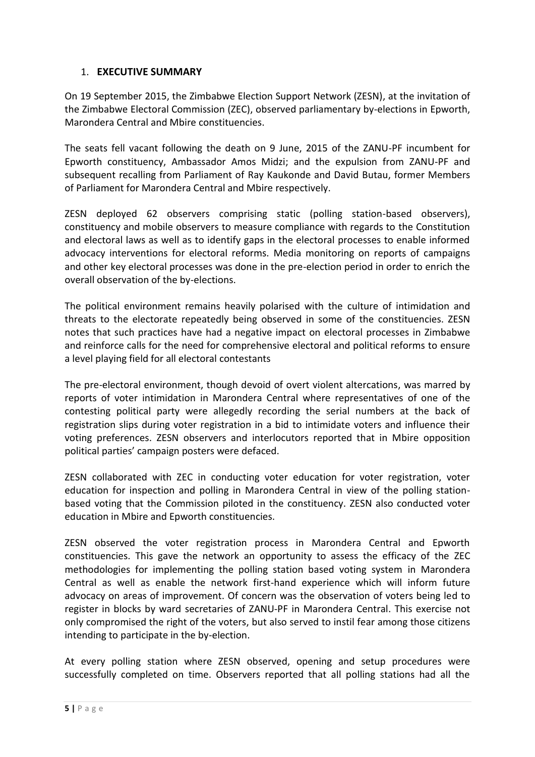### <span id="page-4-0"></span>1. **EXECUTIVE SUMMARY**

On 19 September 2015, the Zimbabwe Election Support Network (ZESN), at the invitation of the Zimbabwe Electoral Commission (ZEC), observed parliamentary by-elections in Epworth, Marondera Central and Mbire constituencies.

The seats fell vacant following the death on 9 June, 2015 of the ZANU-PF incumbent for Epworth constituency, Ambassador Amos Midzi; and the expulsion from ZANU-PF and subsequent recalling from Parliament of Ray Kaukonde and David Butau, former Members of Parliament for Marondera Central and Mbire respectively.

ZESN deployed 62 observers comprising static (polling station-based observers), constituency and mobile observers to measure compliance with regards to the Constitution and electoral laws as well as to identify gaps in the electoral processes to enable informed advocacy interventions for electoral reforms. Media monitoring on reports of campaigns and other key electoral processes was done in the pre-election period in order to enrich the overall observation of the by-elections.

The political environment remains heavily polarised with the culture of intimidation and threats to the electorate repeatedly being observed in some of the constituencies. ZESN notes that such practices have had a negative impact on electoral processes in Zimbabwe and reinforce calls for the need for comprehensive electoral and political reforms to ensure a level playing field for all electoral contestants

The pre-electoral environment, though devoid of overt violent altercations, was marred by reports of voter intimidation in Marondera Central where representatives of one of the contesting political party were allegedly recording the serial numbers at the back of registration slips during voter registration in a bid to intimidate voters and influence their voting preferences. ZESN observers and interlocutors reported that in Mbire opposition political parties' campaign posters were defaced.

ZESN collaborated with ZEC in conducting voter education for voter registration, voter education for inspection and polling in Marondera Central in view of the polling stationbased voting that the Commission piloted in the constituency. ZESN also conducted voter education in Mbire and Epworth constituencies.

ZESN observed the voter registration process in Marondera Central and Epworth constituencies. This gave the network an opportunity to assess the efficacy of the ZEC methodologies for implementing the polling station based voting system in Marondera Central as well as enable the network first-hand experience which will inform future advocacy on areas of improvement. Of concern was the observation of voters being led to register in blocks by ward secretaries of ZANU-PF in Marondera Central. This exercise not only compromised the right of the voters, but also served to instil fear among those citizens intending to participate in the by-election.

At every polling station where ZESN observed, opening and setup procedures were successfully completed on time. Observers reported that all polling stations had all the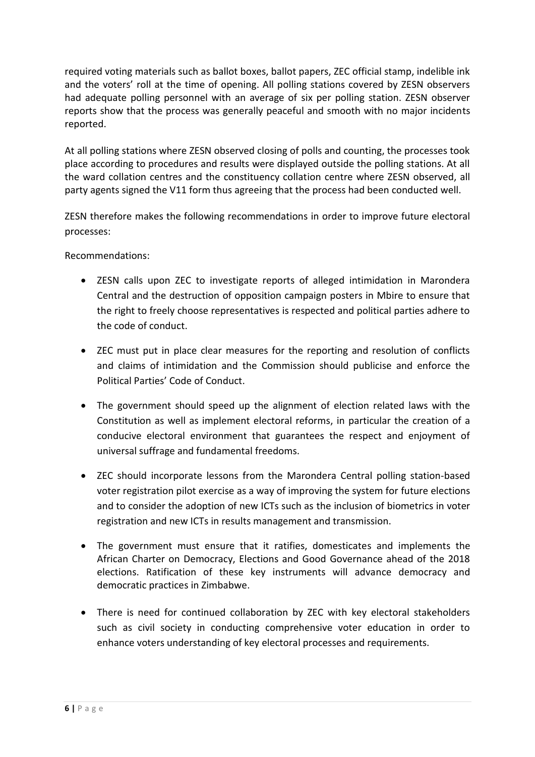required voting materials such as ballot boxes, ballot papers, ZEC official stamp, indelible ink and the voters' roll at the time of opening. All polling stations covered by ZESN observers had adequate polling personnel with an average of six per polling station. ZESN observer reports show that the process was generally peaceful and smooth with no major incidents reported.

At all polling stations where ZESN observed closing of polls and counting, the processes took place according to procedures and results were displayed outside the polling stations. At all the ward collation centres and the constituency collation centre where ZESN observed, all party agents signed the V11 form thus agreeing that the process had been conducted well.

ZESN therefore makes the following recommendations in order to improve future electoral processes:

Recommendations:

- ZESN calls upon ZEC to investigate reports of alleged intimidation in Marondera Central and the destruction of opposition campaign posters in Mbire to ensure that the right to freely choose representatives is respected and political parties adhere to the code of conduct.
- ZEC must put in place clear measures for the reporting and resolution of conflicts and claims of intimidation and the Commission should publicise and enforce the Political Parties' Code of Conduct.
- The government should speed up the alignment of election related laws with the Constitution as well as implement electoral reforms, in particular the creation of a conducive electoral environment that guarantees the respect and enjoyment of universal suffrage and fundamental freedoms.
- ZEC should incorporate lessons from the Marondera Central polling station-based voter registration pilot exercise as a way of improving the system for future elections and to consider the adoption of new ICTs such as the inclusion of biometrics in voter registration and new ICTs in results management and transmission.
- The government must ensure that it ratifies, domesticates and implements the African Charter on Democracy, Elections and Good Governance ahead of the 2018 elections. Ratification of these key instruments will advance democracy and democratic practices in Zimbabwe.
- There is need for continued collaboration by ZEC with key electoral stakeholders such as civil society in conducting comprehensive voter education in order to enhance voters understanding of key electoral processes and requirements.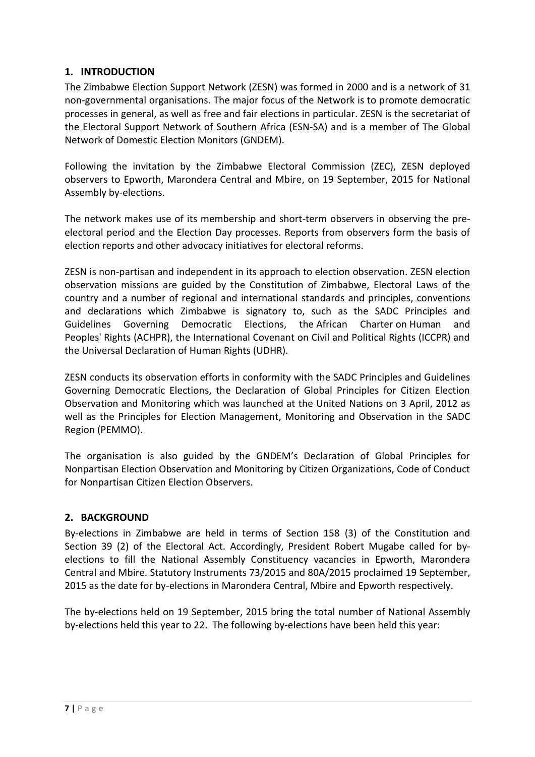## <span id="page-6-0"></span>**1. INTRODUCTION**

The Zimbabwe Election Support Network (ZESN) was formed in 2000 and is a network of 31 non-governmental organisations. The major focus of the Network is to promote democratic processes in general, as well as free and fair elections in particular. ZESN is the secretariat of the Electoral Support Network of Southern Africa (ESN-SA) and is a member of The Global Network of Domestic Election Monitors (GNDEM).

Following the invitation by the Zimbabwe Electoral Commission (ZEC), ZESN deployed observers to Epworth, Marondera Central and Mbire, on 19 September, 2015 for National Assembly by-elections.

The network makes use of its membership and short-term observers in observing the preelectoral period and the Election Day processes. Reports from observers form the basis of election reports and other advocacy initiatives for electoral reforms.

ZESN is non-partisan and independent in its approach to election observation. ZESN election observation missions are guided by the Constitution of Zimbabwe, Electoral Laws of the country and a number of regional and international standards and principles, conventions and declarations which Zimbabwe is signatory to, such as the SADC Principles and Guidelines Governing Democratic Elections, the African Charter on Human and Peoples' Rights (ACHPR), the International Covenant on Civil and Political Rights (ICCPR) and the Universal Declaration of Human Rights (UDHR).

ZESN conducts its observation efforts in conformity with the SADC Principles and Guidelines Governing Democratic Elections, the Declaration of Global Principles for Citizen Election Observation and Monitoring which was launched at the United Nations on 3 April, 2012 as well as the Principles for Election Management, Monitoring and Observation in the SADC Region (PEMMO).

The organisation is also guided by the GNDEM's Declaration of Global Principles for Nonpartisan Election Observation and Monitoring by Citizen Organizations, Code of Conduct for Nonpartisan Citizen Election Observers.

#### <span id="page-6-1"></span>**2. BACKGROUND**

By-elections in Zimbabwe are held in terms of Section 158 (3) of the Constitution and Section 39 (2) of the Electoral Act. Accordingly, President Robert Mugabe called for byelections to fill the National Assembly Constituency vacancies in Epworth, Marondera Central and Mbire. Statutory Instruments 73/2015 and 80A/2015 proclaimed 19 September, 2015 as the date for by-elections in Marondera Central, Mbire and Epworth respectively.

The by-elections held on 19 September, 2015 bring the total number of National Assembly by-elections held this year to 22. The following by-elections have been held this year: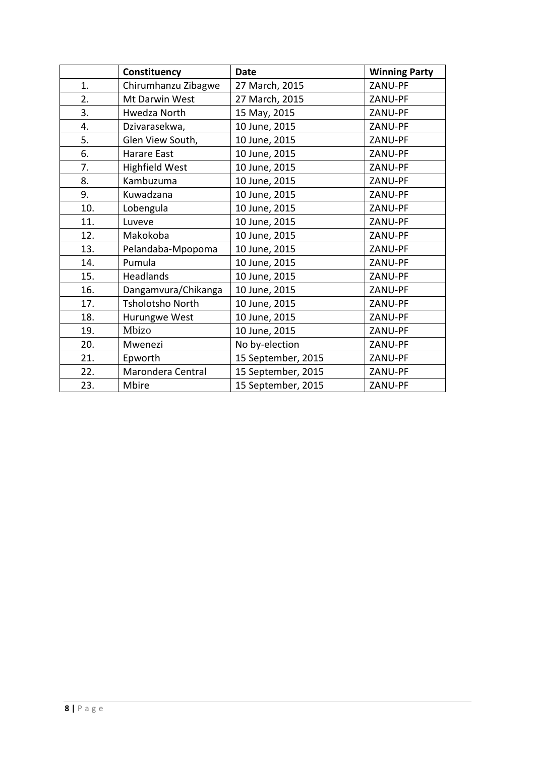|     | Constituency            | <b>Date</b>        | <b>Winning Party</b> |
|-----|-------------------------|--------------------|----------------------|
| 1.  | Chirumhanzu Zibagwe     | 27 March, 2015     | ZANU-PF              |
| 2.  | Mt Darwin West          | 27 March, 2015     | ZANU-PF              |
| 3.  | Hwedza North            | 15 May, 2015       | ZANU-PF              |
| 4.  | Dzivarasekwa,           | 10 June, 2015      | ZANU-PF              |
| 5.  | Glen View South,        | 10 June, 2015      | ZANU-PF              |
| 6.  | Harare East             | 10 June, 2015      | ZANU-PF              |
| 7.  | <b>Highfield West</b>   | 10 June, 2015      | ZANU-PF              |
| 8.  | Kambuzuma               | 10 June, 2015      | ZANU-PF              |
| 9.  | Kuwadzana               | 10 June, 2015      | ZANU-PF              |
| 10. | Lobengula               | 10 June, 2015      | ZANU-PF              |
| 11. | Luveve                  | 10 June, 2015      | ZANU-PF              |
| 12. | Makokoba                | 10 June, 2015      | ZANU-PF              |
| 13. | Pelandaba-Mpopoma       | 10 June, 2015      | ZANU-PF              |
| 14. | Pumula                  | 10 June, 2015      | ZANU-PF              |
| 15. | Headlands               | 10 June, 2015      | ZANU-PF              |
| 16. | Dangamvura/Chikanga     | 10 June, 2015      | ZANU-PF              |
| 17. | <b>Tsholotsho North</b> | 10 June, 2015      | ZANU-PF              |
| 18. | Hurungwe West           | 10 June, 2015      | ZANU-PF              |
| 19. | Mbizo                   | 10 June, 2015      | ZANU-PF              |
| 20. | Mwenezi                 | No by-election     | ZANU-PF              |
| 21. | Epworth                 | 15 September, 2015 | ZANU-PF              |
| 22. | Marondera Central       | 15 September, 2015 | ZANU-PF              |
| 23. | Mbire                   | 15 September, 2015 | ZANU-PF              |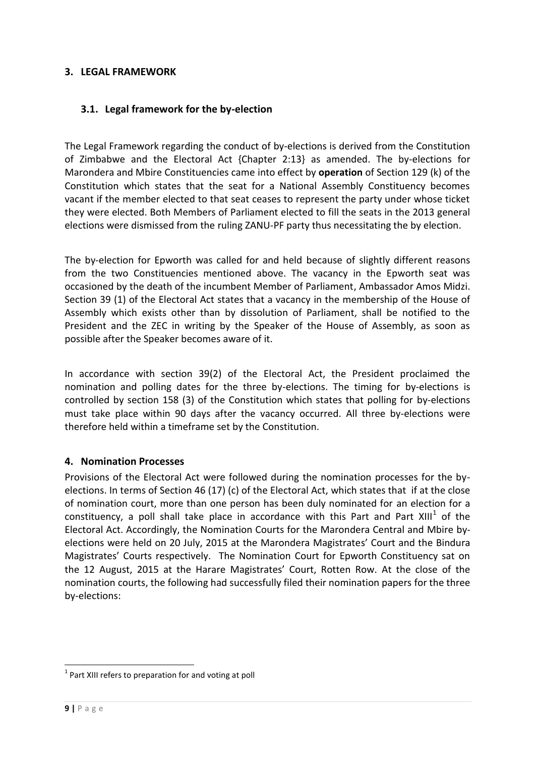#### <span id="page-8-1"></span><span id="page-8-0"></span>**3. LEGAL FRAMEWORK**

#### <span id="page-8-2"></span>**3.1. Legal framework for the by-election**

The Legal Framework regarding the conduct of by-elections is derived from the Constitution of Zimbabwe and the Electoral Act {Chapter 2:13} as amended. The by-elections for Marondera and Mbire Constituencies came into effect by **operation** of Section 129 (k) of the Constitution which states that the seat for a National Assembly Constituency becomes vacant if the member elected to that seat ceases to represent the party under whose ticket they were elected. Both Members of Parliament elected to fill the seats in the 2013 general elections were dismissed from the ruling ZANU-PF party thus necessitating the by election.

The by-election for Epworth was called for and held because of slightly different reasons from the two Constituencies mentioned above. The vacancy in the Epworth seat was occasioned by the death of the incumbent Member of Parliament, Ambassador Amos Midzi. Section 39 (1) of the Electoral Act states that a vacancy in the membership of the House of Assembly which exists other than by dissolution of Parliament, shall be notified to the President and the ZEC in writing by the Speaker of the House of Assembly, as soon as possible after the Speaker becomes aware of it.

In accordance with section 39(2) of the Electoral Act, the President proclaimed the nomination and polling dates for the three by-elections. The timing for by-elections is controlled by section 158 (3) of the Constitution which states that polling for by-elections must take place within 90 days after the vacancy occurred. All three by-elections were therefore held within a timeframe set by the Constitution.

#### **4. Nomination Processes**

Provisions of the Electoral Act were followed during the nomination processes for the byelections. In terms of Section 46 (17) (c) of the Electoral Act, which states that if at the close of nomination court, more than one person has been duly nominated for an election for a constituency, a poll shall take place in accordance with this Part and Part XIII<sup>1</sup> of the Electoral Act. Accordingly, the Nomination Courts for the Marondera Central and Mbire byelections were held on 20 July, 2015 at the Marondera Magistrates' Court and the Bindura Magistrates' Courts respectively. The Nomination Court for Epworth Constituency sat on the 12 August, 2015 at the Harare Magistrates' Court, Rotten Row. At the close of the nomination courts, the following had successfully filed their nomination papers for the three by-elections:

-

 $1$  Part XIII refers to preparation for and voting at poll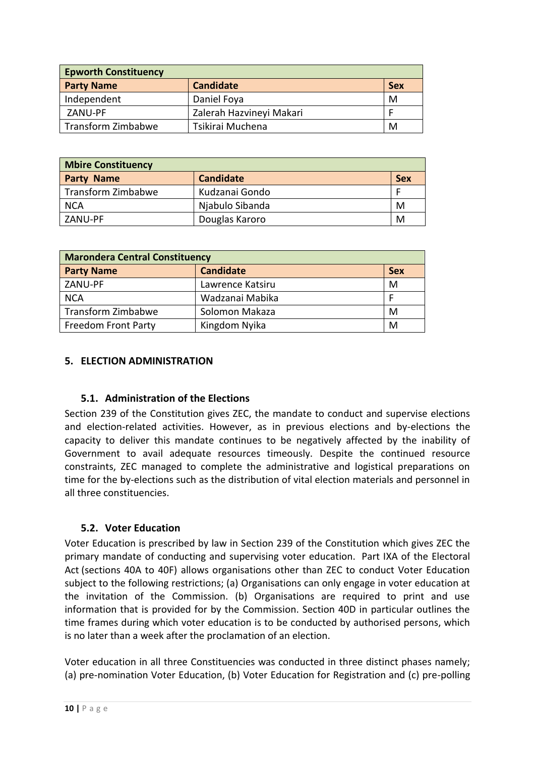| <b>Epworth Constituency</b> |                          |            |  |
|-----------------------------|--------------------------|------------|--|
| <b>Party Name</b>           | <b>Candidate</b>         | <b>Sex</b> |  |
| Independent                 | Daniel Foya              | M          |  |
| ZANU-PF                     | Zalerah Hazvineyi Makari |            |  |
| Transform Zimbabwe          | Tsikirai Muchena         | M          |  |

| <b>Mbire Constituency</b> |                  |            |  |
|---------------------------|------------------|------------|--|
| <b>Party Name</b>         | <b>Candidate</b> | <b>Sex</b> |  |
| Transform Zimbabwe        | Kudzanai Gondo   |            |  |
| <b>NCA</b>                | Njabulo Sibanda  | м          |  |
| ZANU-PF                   | Douglas Karoro   | M          |  |

| <b>Marondera Central Constituency</b> |                  |            |  |
|---------------------------------------|------------------|------------|--|
| <b>Party Name</b>                     | <b>Candidate</b> | <b>Sex</b> |  |
| ZANU-PF                               | Lawrence Katsiru | M          |  |
| <b>NCA</b>                            | Wadzanai Mabika  |            |  |
| Transform Zimbabwe                    | Solomon Makaza   | M          |  |
| <b>Freedom Front Party</b>            | Kingdom Nyika    | M          |  |

#### <span id="page-9-1"></span><span id="page-9-0"></span>**5. ELECTION ADMINISTRATION**

#### **5.1. Administration of the Elections**

Section 239 of the Constitution gives ZEC, the mandate to conduct and supervise elections and election-related activities. However, as in previous elections and by-elections the capacity to deliver this mandate continues to be negatively affected by the inability of Government to avail adequate resources timeously. Despite the continued resource constraints, ZEC managed to complete the administrative and logistical preparations on time for the by-elections such as the distribution of vital election materials and personnel in all three constituencies.

#### <span id="page-9-2"></span>**5.2. Voter Education**

Voter Education is prescribed by law in Section 239 of the Constitution which gives ZEC the primary mandate of conducting and supervising voter education. Part IXA of the Electoral Act (sections 40A to 40F) allows organisations other than ZEC to conduct Voter Education subject to the following restrictions; (a) Organisations can only engage in voter education at the invitation of the Commission. (b) Organisations are required to print and use information that is provided for by the Commission. Section 40D in particular outlines the time frames during which voter education is to be conducted by authorised persons, which is no later than a week after the proclamation of an election.

Voter education in all three Constituencies was conducted in three distinct phases namely; (a) pre-nomination Voter Education, (b) Voter Education for Registration and (c) pre-polling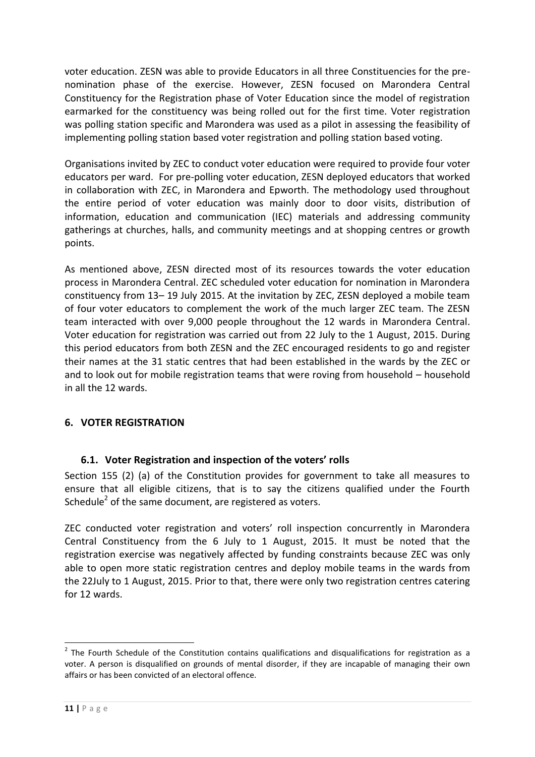voter education. ZESN was able to provide Educators in all three Constituencies for the prenomination phase of the exercise. However, ZESN focused on Marondera Central Constituency for the Registration phase of Voter Education since the model of registration earmarked for the constituency was being rolled out for the first time. Voter registration was polling station specific and Marondera was used as a pilot in assessing the feasibility of implementing polling station based voter registration and polling station based voting.

Organisations invited by ZEC to conduct voter education were required to provide four voter educators per ward. For pre-polling voter education, ZESN deployed educators that worked in collaboration with ZEC, in Marondera and Epworth. The methodology used throughout the entire period of voter education was mainly door to door visits, distribution of information, education and communication (IEC) materials and addressing community gatherings at churches, halls, and community meetings and at shopping centres or growth points.

As mentioned above, ZESN directed most of its resources towards the voter education process in Marondera Central. ZEC scheduled voter education for nomination in Marondera constituency from 13– 19 July 2015. At the invitation by ZEC, ZESN deployed a mobile team of four voter educators to complement the work of the much larger ZEC team. The ZESN team interacted with over 9,000 people throughout the 12 wards in Marondera Central. Voter education for registration was carried out from 22 July to the 1 August, 2015. During this period educators from both ZESN and the ZEC encouraged residents to go and register their names at the 31 static centres that had been established in the wards by the ZEC or and to look out for mobile registration teams that were roving from household – household in all the 12 wards.

## <span id="page-10-1"></span><span id="page-10-0"></span>**6. VOTER REGISTRATION**

## **6.1. Voter Registration and inspection of the voters' rolls**

<span id="page-10-2"></span>Section 155 (2) (a) of the Constitution provides for government to take all measures to ensure that all eligible citizens, that is to say the citizens qualified under the Fourth Schedule<sup>2</sup> of the same document, are registered as voters.

ZEC conducted voter registration and voters' roll inspection concurrently in Marondera Central Constituency from the 6 July to 1 August, 2015. It must be noted that the registration exercise was negatively affected by funding constraints because ZEC was only able to open more static registration centres and deploy mobile teams in the wards from the 22July to 1 August, 2015. Prior to that, there were only two registration centres catering for 12 wards.

 2 The Fourth Schedule of the Constitution contains qualifications and disqualifications for registration as a voter. A person is disqualified on grounds of mental disorder, if they are incapable of managing their own affairs or has been convicted of an electoral offence.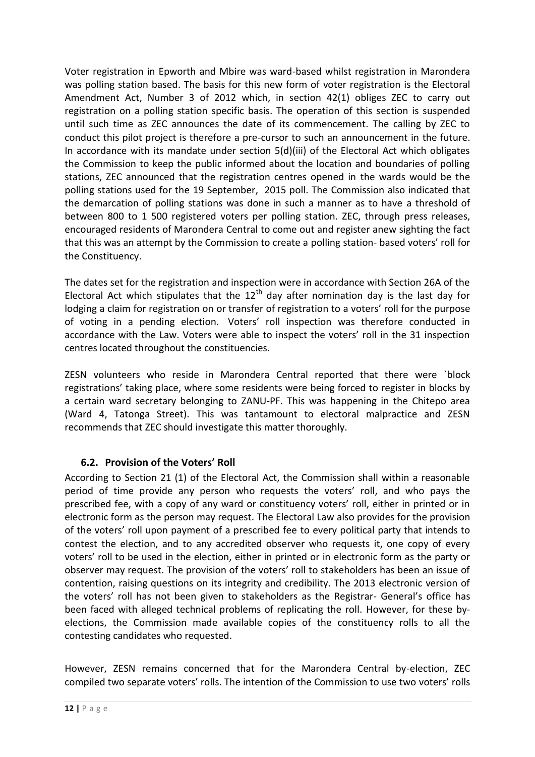Voter registration in Epworth and Mbire was ward-based whilst registration in Marondera was polling station based. The basis for this new form of voter registration is the Electoral Amendment Act, Number 3 of 2012 which, in section 42(1) obliges ZEC to carry out registration on a polling station specific basis. The operation of this section is suspended until such time as ZEC announces the date of its commencement. The calling by ZEC to conduct this pilot project is therefore a pre-cursor to such an announcement in the future. In accordance with its mandate under section 5(d)(iii) of the Electoral Act which obligates the Commission to keep the public informed about the location and boundaries of polling stations, ZEC announced that the registration centres opened in the wards would be the polling stations used for the 19 September, 2015 poll. The Commission also indicated that the demarcation of polling stations was done in such a manner as to have a threshold of between 800 to 1 500 registered voters per polling station. ZEC, through press releases, encouraged residents of Marondera Central to come out and register anew sighting the fact that this was an attempt by the Commission to create a polling station- based voters' roll for the Constituency.

The dates set for the registration and inspection were in accordance with Section 26A of the Electoral Act which stipulates that the  $12<sup>th</sup>$  day after nomination day is the last day for lodging a claim for registration on or transfer of registration to a voters' roll for the purpose of voting in a pending election. Voters' roll inspection was therefore conducted in accordance with the Law. Voters were able to inspect the voters' roll in the 31 inspection centres located throughout the constituencies.

ZESN volunteers who reside in Marondera Central reported that there were `block registrations' taking place, where some residents were being forced to register in blocks by a certain ward secretary belonging to ZANU-PF. This was happening in the Chitepo area (Ward 4, Tatonga Street). This was tantamount to electoral malpractice and ZESN recommends that ZEC should investigate this matter thoroughly.

## **6.2. Provision of the Voters' Roll**

According to Section 21 (1) of the Electoral Act, the Commission shall within a reasonable period of time provide any person who requests the voters' roll, and who pays the prescribed fee, with a copy of any ward or constituency voters' roll, either in printed or in electronic form as the person may request. The Electoral Law also provides for the provision of the voters' roll upon payment of a prescribed fee to every political party that intends to contest the election, and to any accredited observer who requests it, one copy of every voters' roll to be used in the election, either in printed or in electronic form as the party or observer may request. The provision of the voters' roll to stakeholders has been an issue of contention, raising questions on its integrity and credibility. The 2013 electronic version of the voters' roll has not been given to stakeholders as the Registrar- General's office has been faced with alleged technical problems of replicating the roll. However, for these byelections, the Commission made available copies of the constituency rolls to all the contesting candidates who requested.

However, ZESN remains concerned that for the Marondera Central by-election, ZEC compiled two separate voters' rolls. The intention of the Commission to use two voters' rolls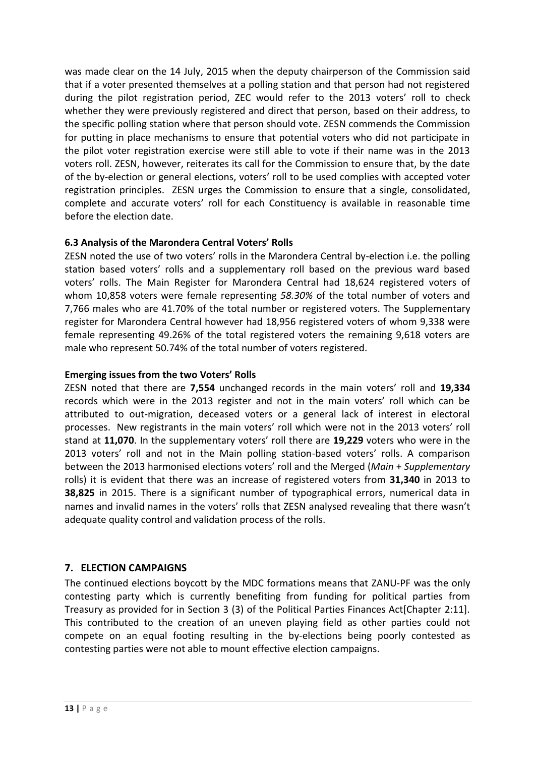was made clear on the 14 July, 2015 when the deputy chairperson of the Commission said that if a voter presented themselves at a polling station and that person had not registered during the pilot registration period, ZEC would refer to the 2013 voters' roll to check whether they were previously registered and direct that person, based on their address, to the specific polling station where that person should vote. ZESN commends the Commission for putting in place mechanisms to ensure that potential voters who did not participate in the pilot voter registration exercise were still able to vote if their name was in the 2013 voters roll. ZESN, however, reiterates its call for the Commission to ensure that, by the date of the by-election or general elections, voters' roll to be used complies with accepted voter registration principles. ZESN urges the Commission to ensure that a single, consolidated, complete and accurate voters' roll for each Constituency is available in reasonable time before the election date.

## **6.3 Analysis of the Marondera Central Voters' Rolls**

ZESN noted the use of two voters' rolls in the Marondera Central by-election i.e. the polling station based voters' rolls and a supplementary roll based on the previous ward based voters' rolls. The Main Register for Marondera Central had 18,624 registered voters of whom 10,858 voters were female representing *58.30%* of the total number of voters and 7,766 males who are 41.70% of the total number or registered voters. The Supplementary register for Marondera Central however had 18,956 registered voters of whom 9,338 were female representing 49.26% of the total registered voters the remaining 9,618 voters are male who represent 50.74% of the total number of voters registered.

## **Emerging issues from the two Voters' Rolls**

ZESN noted that there are **7,554** unchanged records in the main voters' roll and **19,334** records which were in the 2013 register and not in the main voters' roll which can be attributed to out-migration, deceased voters or a general lack of interest in electoral processes. New registrants in the main voters' roll which were not in the 2013 voters' roll stand at **11,070**. In the supplementary voters' roll there are **19,229** voters who were in the 2013 voters' roll and not in the Main polling station-based voters' rolls. A comparison between the 2013 harmonised elections voters' roll and the Merged (*Main* + *Supplementary* rolls) it is evident that there was an increase of registered voters from **31,340** in 2013 to **38,825** in 2015. There is a significant number of typographical errors, numerical data in names and invalid names in the voters' rolls that ZESN analysed revealing that there wasn't adequate quality control and validation process of the rolls.

## <span id="page-12-0"></span>**7. ELECTION CAMPAIGNS**

The continued elections boycott by the MDC formations means that ZANU-PF was the only contesting party which is currently benefiting from funding for political parties from Treasury as provided for in Section 3 (3) of the Political Parties Finances Act[Chapter 2:11]. This contributed to the creation of an uneven playing field as other parties could not compete on an equal footing resulting in the by-elections being poorly contested as contesting parties were not able to mount effective election campaigns.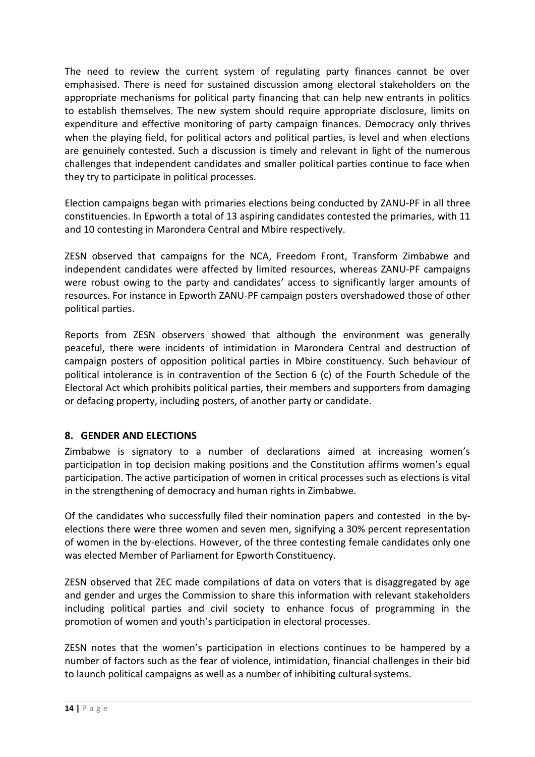The need to review the current system of regulating party finances cannot be over emphasised. There is need for sustained discussion among electoral stakeholders on the appropriate mechanisms for political party financing that can help new entrants in politics to establish themselves. The new system should require appropriate disclosure, limits on expenditure and effective monitoring of party campaign finances. Democracy only thrives when the playing field, for political actors and political parties, is level and when elections are genuinely contested. Such a discussion is timely and relevant in light of the numerous challenges that independent candidates and smaller political parties continue to face when they try to participate in political processes.

Election campaigns began with primaries elections being conducted by ZANU-PF in all three constituencies. In Epworth a total of 13 aspiring candidates contested the primaries, with 11 and 10 contesting in Marondera Central and Mbire respectively.

ZESN observed that campaigns for the NCA, Freedom Front, Transform Zimbabwe and independent candidates were affected by limited resources, whereas ZANU-PF campaigns were robust owing to the party and candidates' access to significantly larger amounts of resources. For instance in Epworth ZANU-PF campaign posters overshadowed those of other political parties.

Reports from ZESN observers showed that although the environment was generally peaceful, there were incidents of intimidation in Marondera Central and destruction of campaign posters of opposition political parties in Mbire constituency. Such behaviour of political intolerance is in contravention of the Section 6 (c) of the Fourth Schedule of the Electoral Act which prohibits political parties, their members and supporters from damaging or defacing property, including posters, of another party or candidate.

## <span id="page-13-0"></span>**8. GENDER AND ELECTIONS**

Zimbabwe is signatory to a number of declarations aimed at increasing women's participation in top decision making positions and the Constitution affirms women's equal participation. The active participation of women in critical processes such as elections is vital in the strengthening of democracy and human rights in Zimbabwe.

Of the candidates who successfully filed their nomination papers and contested in the byelections there were three women and seven men, signifying a 30% percent representation of women in the by-elections. However, of the three contesting female candidates only one was elected Member of Parliament for Epworth Constituency.

ZESN observed that ZEC made compilations of data on voters that is disaggregated by age and gender and urges the Commission to share this information with relevant stakeholders including political parties and civil society to enhance focus of programming in the promotion of women and youth's participation in electoral processes.

ZESN notes that the women's participation in elections continues to be hampered by a number of factors such as the fear of violence, intimidation, financial challenges in their bid to launch political campaigns as well as a number of inhibiting cultural systems.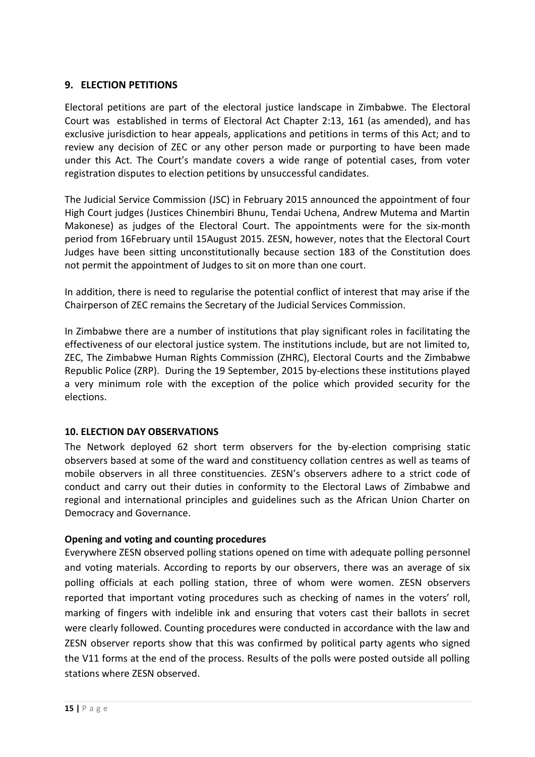## <span id="page-14-0"></span>**9. ELECTION PETITIONS**

Electoral petitions are part of the electoral justice landscape in Zimbabwe. The Electoral Court was established in terms of Electoral Act Chapter 2:13, 161 (as amended), and has exclusive jurisdiction to hear appeals, applications and petitions in terms of this Act; and to review any decision of ZEC or any other person made or purporting to have been made under this Act. The Court's mandate covers a wide range of potential cases, from voter registration disputes to election petitions by unsuccessful candidates.

The Judicial Service Commission (JSC) in February 2015 announced the appointment of four High Court judges (Justices Chinembiri Bhunu, Tendai Uchena, Andrew Mutema and Martin Makonese) as judges of the Electoral Court. The appointments were for the six-month period from 16February until 15August 2015. ZESN, however, notes that the Electoral Court Judges have been sitting unconstitutionally because section 183 of the Constitution does not permit the appointment of Judges to sit on more than one court.

In addition, there is need to regularise the potential conflict of interest that may arise if the Chairperson of ZEC remains the Secretary of the Judicial Services Commission.

In Zimbabwe there are a number of institutions that play significant roles in facilitating the effectiveness of our electoral justice system. The institutions include, but are not limited to, ZEC, The Zimbabwe Human Rights Commission (ZHRC), Electoral Courts and the Zimbabwe Republic Police (ZRP). During the 19 September, 2015 by-elections these institutions played a very minimum role with the exception of the police which provided security for the elections.

#### <span id="page-14-1"></span>**10. ELECTION DAY OBSERVATIONS**

The Network deployed 62 short term observers for the by-election comprising static observers based at some of the ward and constituency collation centres as well as teams of mobile observers in all three constituencies. ZESN's observers adhere to a strict code of conduct and carry out their duties in conformity to the Electoral Laws of Zimbabwe and regional and international principles and guidelines such as the African Union Charter on Democracy and Governance.

#### **Opening and voting and counting procedures**

Everywhere ZESN observed polling stations opened on time with adequate polling personnel and voting materials. According to reports by our observers, there was an average of six polling officials at each polling station, three of whom were women. ZESN observers reported that important voting procedures such as checking of names in the voters' roll, marking of fingers with indelible ink and ensuring that voters cast their ballots in secret were clearly followed. Counting procedures were conducted in accordance with the law and ZESN observer reports show that this was confirmed by political party agents who signed the V11 forms at the end of the process. Results of the polls were posted outside all polling stations where ZESN observed.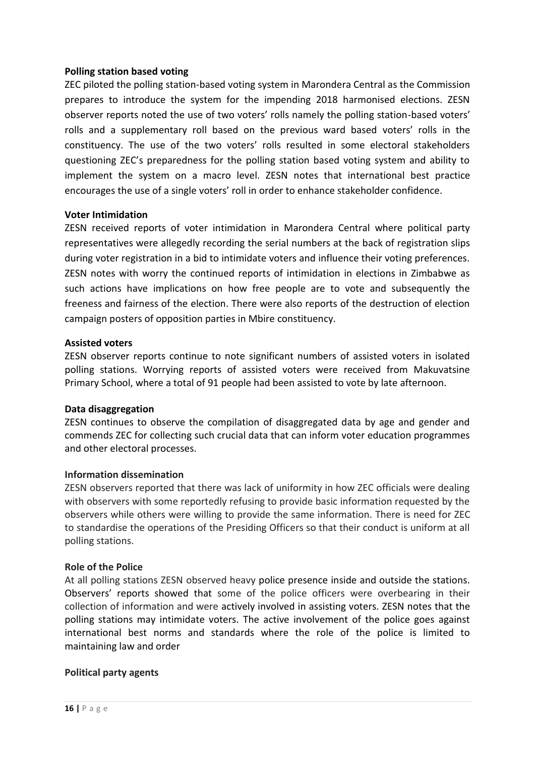#### **Polling station based voting**

ZEC piloted the polling station-based voting system in Marondera Central as the Commission prepares to introduce the system for the impending 2018 harmonised elections. ZESN observer reports noted the use of two voters' rolls namely the polling station-based voters' rolls and a supplementary roll based on the previous ward based voters' rolls in the constituency. The use of the two voters' rolls resulted in some electoral stakeholders questioning ZEC's preparedness for the polling station based voting system and ability to implement the system on a macro level. ZESN notes that international best practice encourages the use of a single voters' roll in order to enhance stakeholder confidence.

#### **Voter Intimidation**

ZESN received reports of voter intimidation in Marondera Central where political party representatives were allegedly recording the serial numbers at the back of registration slips during voter registration in a bid to intimidate voters and influence their voting preferences. ZESN notes with worry the continued reports of intimidation in elections in Zimbabwe as such actions have implications on how free people are to vote and subsequently the freeness and fairness of the election. There were also reports of the destruction of election campaign posters of opposition parties in Mbire constituency.

#### **Assisted voters**

ZESN observer reports continue to note significant numbers of assisted voters in isolated polling stations. Worrying reports of assisted voters were received from Makuvatsine Primary School, where a total of 91 people had been assisted to vote by late afternoon.

#### **Data disaggregation**

ZESN continues to observe the compilation of disaggregated data by age and gender and commends ZEC for collecting such crucial data that can inform voter education programmes and other electoral processes.

#### **Information dissemination**

ZESN observers reported that there was lack of uniformity in how ZEC officials were dealing with observers with some reportedly refusing to provide basic information requested by the observers while others were willing to provide the same information. There is need for ZEC to standardise the operations of the Presiding Officers so that their conduct is uniform at all polling stations.

#### **Role of the Police**

At all polling stations ZESN observed heavy police presence inside and outside the stations. Observers' reports showed that some of the police officers were overbearing in their collection of information and were actively involved in assisting voters. ZESN notes that the polling stations may intimidate voters. The active involvement of the police goes against international best norms and standards where the role of the police is limited to maintaining law and order

#### **Political party agents**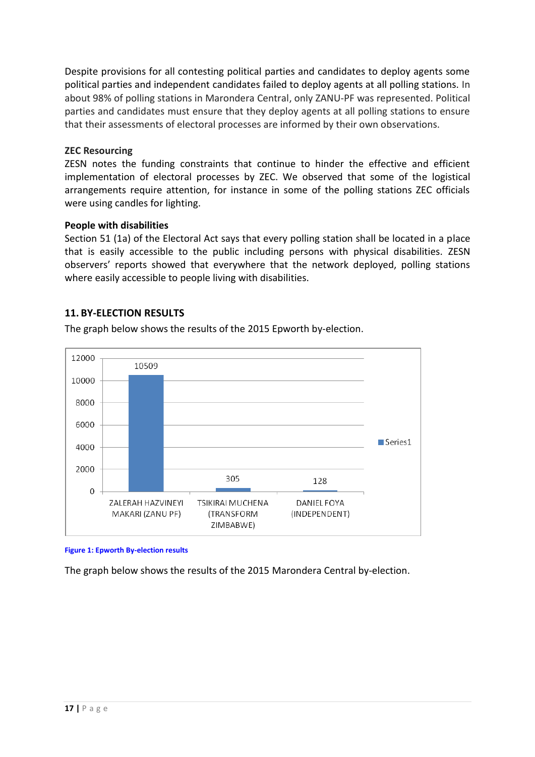Despite provisions for all contesting political parties and candidates to deploy agents some political parties and independent candidates failed to deploy agents at all polling stations. In about 98% of polling stations in Marondera Central, only ZANU-PF was represented. Political parties and candidates must ensure that they deploy agents at all polling stations to ensure that their assessments of electoral processes are informed by their own observations.

#### **ZEC Resourcing**

ZESN notes the funding constraints that continue to hinder the effective and efficient implementation of electoral processes by ZEC. We observed that some of the logistical arrangements require attention, for instance in some of the polling stations ZEC officials were using candles for lighting.

#### **People with disabilities**

Section 51 (1a) of the Electoral Act says that every polling station shall be located in a place that is easily accessible to the public including persons with physical disabilities. ZESN observers' reports showed that everywhere that the network deployed, polling stations where easily accessible to people living with disabilities.

#### **11. BY-ELECTION RESULTS**

The graph below shows the results of the 2015 Epworth by-election.



**Figure 1: Epworth By-election results**

The graph below shows the results of the 2015 Marondera Central by-election.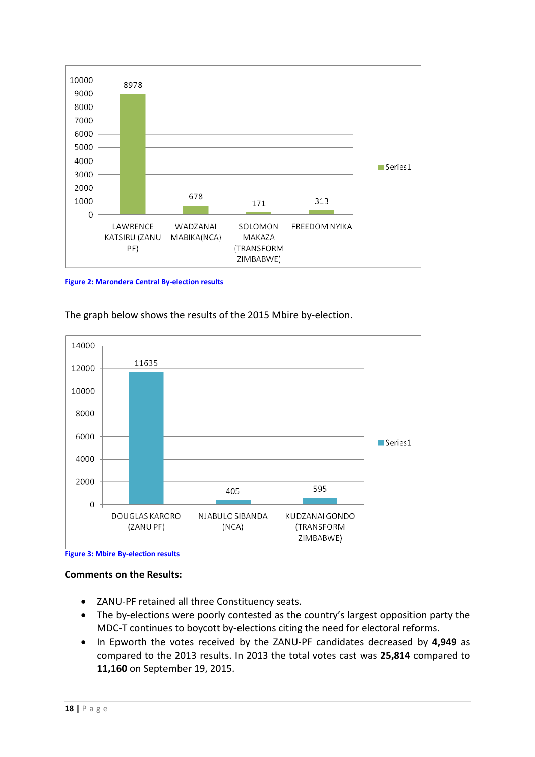

#### **Figure 2: Marondera Central By-election results**





**Figure 3: Mbire By-election results**

#### **Comments on the Results:**

- ZANU-PF retained all three Constituency seats.
- The by-elections were poorly contested as the country's largest opposition party the MDC-T continues to boycott by-elections citing the need for electoral reforms.
- In Epworth the votes received by the ZANU-PF candidates decreased by **4,949** as compared to the 2013 results. In 2013 the total votes cast was **25,814** compared to **11,160** on September 19, 2015.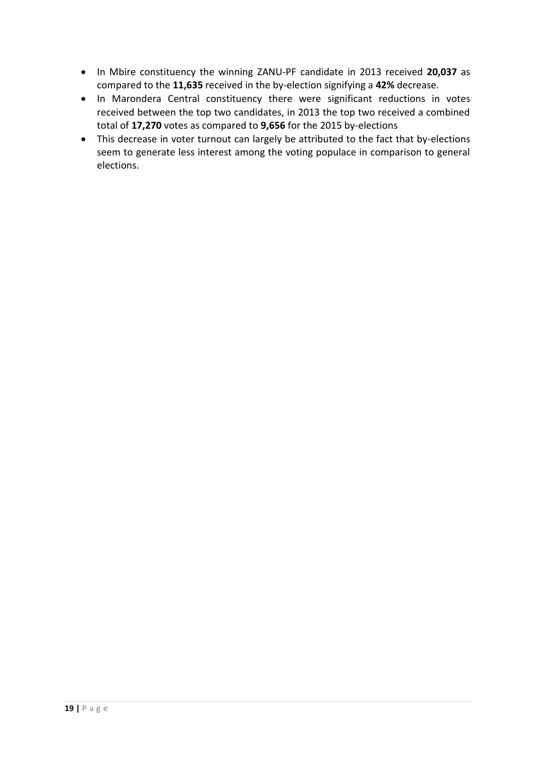- In Mbire constituency the winning ZANU-PF candidate in 2013 received **20,037** as compared to the **11,635** received in the by-election signifying a **42%** decrease.
- In Marondera Central constituency there were significant reductions in votes received between the top two candidates, in 2013 the top two received a combined total of **17,270** votes as compared to **9,656** for the 2015 by-elections
- This decrease in voter turnout can largely be attributed to the fact that by-elections seem to generate less interest among the voting populace in comparison to general elections.